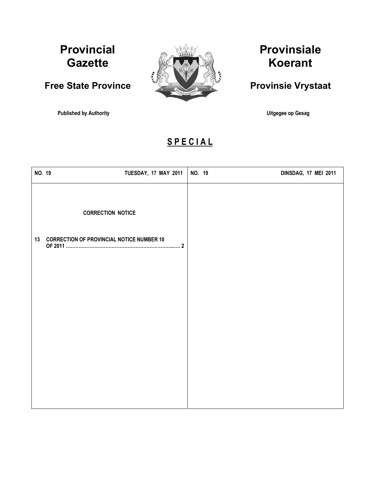# **Provincial Gazette**

# **Free State Province**

**Published by Authority Community Community Community Community Community Community Community Community Community** 



# **Provinsiale Koerant**

# **Provinsie Vrystaat**

## **S P E C I A L**

| NO. 19 | TUESDAY, 17 MAY 2011                                    | NO. 19 | DINSDAG, 17 MEI 2011 |
|--------|---------------------------------------------------------|--------|----------------------|
|        |                                                         |        |                      |
|        | <b>CORRECTION NOTICE</b>                                |        |                      |
| 13     | <b>CORRECTION OF PROVINCIAL NOTICE NUMBER 10</b><br>. 2 |        |                      |
|        |                                                         |        |                      |
|        |                                                         |        |                      |
|        |                                                         |        |                      |
|        |                                                         |        |                      |
|        |                                                         |        |                      |
|        |                                                         |        |                      |
|        |                                                         |        |                      |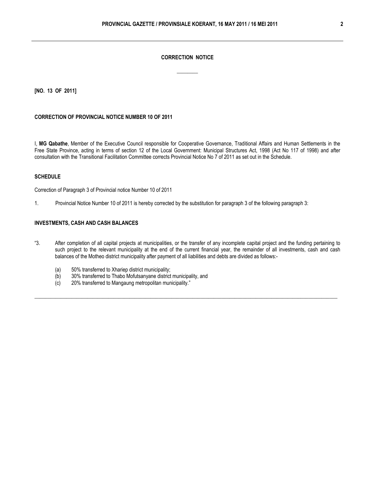### **CORRECTION NOTICE**

 $\overline{\phantom{a}}$ 

**[NO. 13 OF 2011]** 

#### **CORRECTION OF PROVINCIAL NOTICE NUMBER 10 OF 2011**

I, **MG Qabathe**, Member of the Executive Council responsible for Cooperative Governance, Traditional Affairs and Human Settlements in the Free State Province, acting in terms of section 12 of the Local Government: Municipal Structures Act, 1998 (Act No 117 of 1998) and after consultation with the Transitional Facilitation Committee corrects Provincial Notice No 7 of 2011 as set out in the Schedule.

#### **SCHEDULE**

Correction of Paragraph 3 of Provincial notice Number 10 of 2011

1. Provincial Notice Number 10 of 2011 is hereby corrected by the substitution for paragraph 3 of the following paragraph 3:

#### **INVESTMENTS, CASH AND CASH BALANCES**

"3. After completion of all capital projects at municipalities, or the transfer of any incomplete capital project and the funding pertaining to such project to the relevant municipality at the end of the current financial year, the remainder of all investments, cash and cash balances of the Motheo district municipality after payment of all liabilities and debts are divided as follows:-

\_\_\_\_\_\_\_\_\_\_\_\_\_\_\_\_\_\_\_\_\_\_\_\_\_\_\_\_\_\_\_\_\_\_\_\_\_\_\_\_\_\_\_\_\_\_\_\_\_\_\_\_\_\_\_\_\_\_\_\_\_\_\_\_\_\_\_\_\_\_\_\_\_\_\_\_\_\_\_\_\_\_\_\_\_\_\_\_\_\_\_\_\_\_\_\_\_\_\_\_\_\_\_\_\_\_\_\_\_\_\_\_\_\_\_

- (a) 50% transferred to Xhariep district municipality;
- (b) 30% transferred to Thabo Mofutsanyane district municipality, and
- (c) 20% transferred to Mangaung metropolitan municipality."